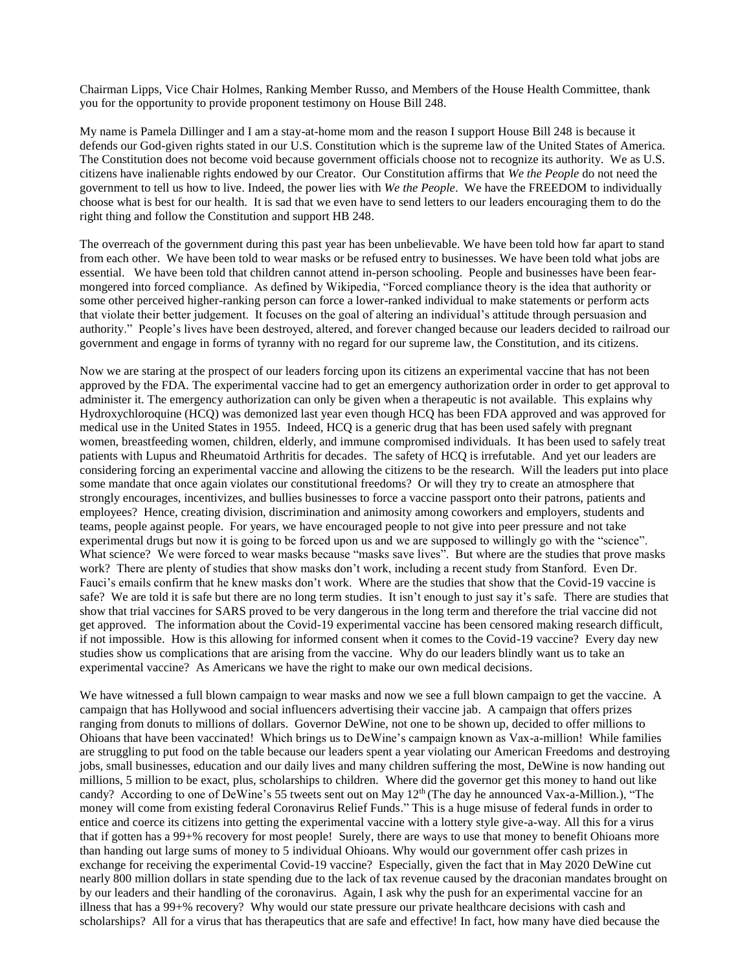Chairman Lipps, Vice Chair Holmes, Ranking Member Russo, and Members of the House Health Committee, thank you for the opportunity to provide proponent testimony on House Bill 248.

My name is Pamela Dillinger and I am a stay-at-home mom and the reason I support House Bill 248 is because it defends our God-given rights stated in our U.S. Constitution which is the supreme law of the United States of America. The Constitution does not become void because government officials choose not to recognize its authority. We as U.S. citizens have inalienable rights endowed by our Creator. Our Constitution affirms that *We the People* do not need the government to tell us how to live. Indeed, the power lies with *We the People*. We have the FREEDOM to individually choose what is best for our health. It is sad that we even have to send letters to our leaders encouraging them to do the right thing and follow the Constitution and support HB 248.

The overreach of the government during this past year has been unbelievable. We have been told how far apart to stand from each other. We have been told to wear masks or be refused entry to businesses. We have been told what jobs are essential. We have been told that children cannot attend in-person schooling. People and businesses have been fearmongered into forced compliance. As defined by Wikipedia, "Forced compliance theory is the idea that authority or some other perceived higher-ranking person can force a lower-ranked individual to make statements or perform acts that violate their better judgement. It focuses on the goal of altering an individual's attitude through persuasion and authority." People's lives have been destroyed, altered, and forever changed because our leaders decided to railroad our government and engage in forms of tyranny with no regard for our supreme law, the Constitution, and its citizens.

Now we are staring at the prospect of our leaders forcing upon its citizens an experimental vaccine that has not been approved by the FDA. The experimental vaccine had to get an emergency authorization order in order to get approval to administer it. The emergency authorization can only be given when a therapeutic is not available. This explains why Hydroxychloroquine (HCQ) was demonized last year even though HCQ has been FDA approved and was approved for medical use in the United States in 1955. Indeed, HCQ is a generic drug that has been used safely with pregnant women, breastfeeding women, children, elderly, and immune compromised individuals. It has been used to safely treat patients with Lupus and Rheumatoid Arthritis for decades. The safety of HCQ is irrefutable. And yet our leaders are considering forcing an experimental vaccine and allowing the citizens to be the research. Will the leaders put into place some mandate that once again violates our constitutional freedoms? Or will they try to create an atmosphere that strongly encourages, incentivizes, and bullies businesses to force a vaccine passport onto their patrons, patients and employees? Hence, creating division, discrimination and animosity among coworkers and employers, students and teams, people against people. For years, we have encouraged people to not give into peer pressure and not take experimental drugs but now it is going to be forced upon us and we are supposed to willingly go with the "science". What science? We were forced to wear masks because "masks save lives". But where are the studies that prove masks work? There are plenty of studies that show masks don't work, including a recent study from Stanford. Even Dr. Fauci's emails confirm that he knew masks don't work. Where are the studies that show that the Covid-19 vaccine is safe? We are told it is safe but there are no long term studies. It isn't enough to just say it's safe. There are studies that show that trial vaccines for SARS proved to be very dangerous in the long term and therefore the trial vaccine did not get approved. The information about the Covid-19 experimental vaccine has been censored making research difficult, if not impossible. How is this allowing for informed consent when it comes to the Covid-19 vaccine? Every day new studies show us complications that are arising from the vaccine. Why do our leaders blindly want us to take an experimental vaccine? As Americans we have the right to make our own medical decisions.

We have witnessed a full blown campaign to wear masks and now we see a full blown campaign to get the vaccine. A campaign that has Hollywood and social influencers advertising their vaccine jab. A campaign that offers prizes ranging from donuts to millions of dollars. Governor DeWine, not one to be shown up, decided to offer millions to Ohioans that have been vaccinated! Which brings us to DeWine's campaign known as Vax-a-million! While families are struggling to put food on the table because our leaders spent a year violating our American Freedoms and destroying jobs, small businesses, education and our daily lives and many children suffering the most, DeWine is now handing out millions, 5 million to be exact, plus, scholarships to children. Where did the governor get this money to hand out like candy? According to one of DeWine's 55 tweets sent out on May 12<sup>th</sup> (The day he announced Vax-a-Million.), "The money will come from existing federal Coronavirus Relief Funds." This is a huge misuse of federal funds in order to entice and coerce its citizens into getting the experimental vaccine with a lottery style give-a-way. All this for a virus that if gotten has a 99+% recovery for most people! Surely, there are ways to use that money to benefit Ohioans more than handing out large sums of money to 5 individual Ohioans. Why would our government offer cash prizes in exchange for receiving the experimental Covid-19 vaccine? Especially, given the fact that in May 2020 DeWine cut nearly 800 million dollars in state spending due to the lack of tax revenue caused by the draconian mandates brought on by our leaders and their handling of the coronavirus. Again, I ask why the push for an experimental vaccine for an illness that has a 99+% recovery? Why would our state pressure our private healthcare decisions with cash and scholarships? All for a virus that has therapeutics that are safe and effective! In fact, how many have died because the